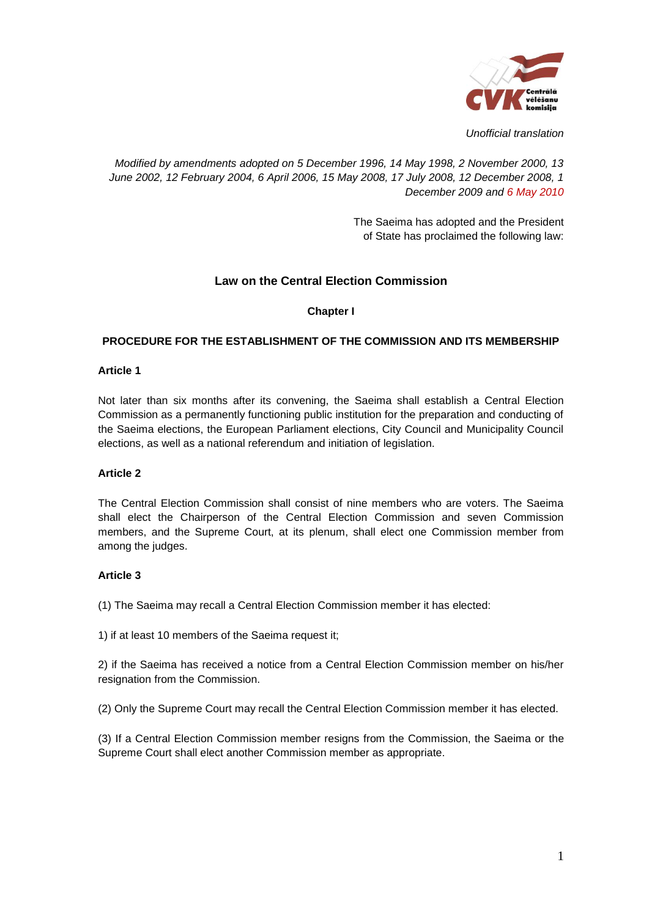

*Unofficial translation*

*Modified by amendments adopted on 5 December 1996, 14 May 1998, 2 November 2000, 13 June 2002, 12 February 2004, 6 April 2006, 15 May 2008, 17 July 2008, 12 December 2008, 1 December 2009 and 6 May 2010*

> The Saeima has adopted and the President of State has proclaimed the following law:

# **Law on the Central Election Commission**

### **Chapter I**

### **PROCEDURE FOR THE ESTABLISHMENT OF THE COMMISSION AND ITS MEMBERSHIP**

### **Article 1**

Not later than six months after its convening, the Saeima shall establish a Central Election Commission as a permanently functioning public institution for the preparation and conducting of the Saeima elections, the European Parliament elections, City Council and Municipality Council elections, as well as a national referendum and initiation of legislation.

#### **Article 2**

The Central Election Commission shall consist of nine members who are voters. The Saeima shall elect the Chairperson of the Central Election Commission and seven Commission members, and the Supreme Court, at its plenum, shall elect one Commission member from among the judges.

### **Article 3**

(1) The Saeima may recall a Central Election Commission member it has elected:

1) if at least 10 members of the Saeima request it;

2) if the Saeima has received a notice from a Central Election Commission member on his/her resignation from the Commission.

(2) Only the Supreme Court may recall the Central Election Commission member it has elected.

(3) If a Central Election Commission member resigns from the Commission, the Saeima or the Supreme Court shall elect another Commission member as appropriate.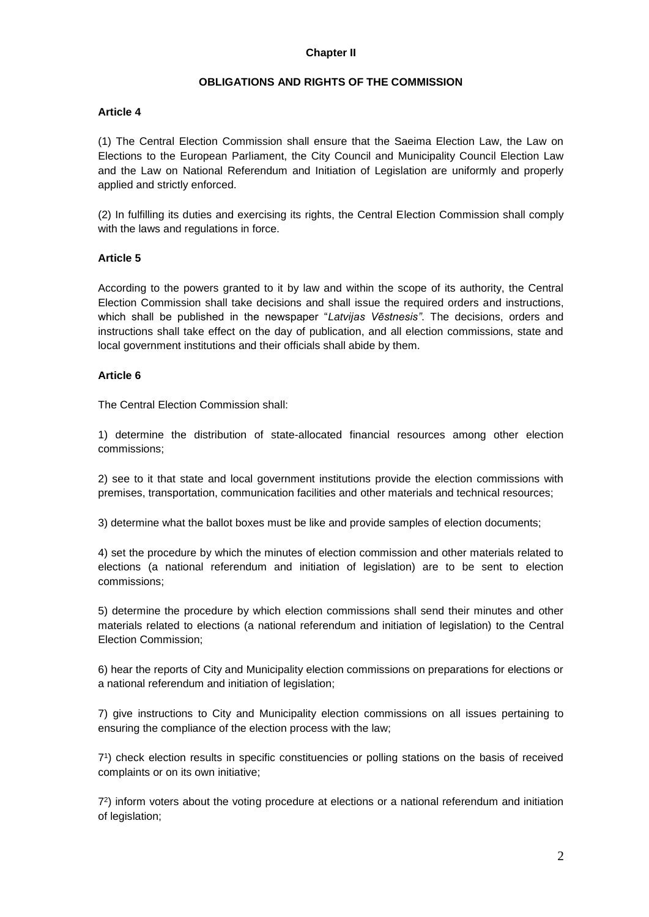### **OBLIGATIONS AND RIGHTS OF THE COMMISSION**

### **Article 4**

(1) The Central Election Commission shall ensure that the Saeima Election Law, the Law on Elections to the European Parliament, the City Council and Municipality Council Election Law and the Law on National Referendum and Initiation of Legislation are uniformly and properly applied and strictly enforced.

(2) In fulfilling its duties and exercising its rights, the Central Election Commission shall comply with the laws and regulations in force.

### **Article 5**

According to the powers granted to it by law and within the scope of its authority, the Central Election Commission shall take decisions and shall issue the required orders and instructions, which shall be published in the newspaper "*Latvijas Vēstnesis"*. The decisions, orders and instructions shall take effect on the day of publication, and all election commissions, state and local government institutions and their officials shall abide by them.

### **Article 6**

The Central Election Commission shall:

1) determine the distribution of state-allocated financial resources among other election commissions;

2) see to it that state and local government institutions provide the election commissions with premises, transportation, communication facilities and other materials and technical resources;

3) determine what the ballot boxes must be like and provide samples of election documents;

4) set the procedure by which the minutes of election commission and other materials related to elections (a national referendum and initiation of legislation) are to be sent to election commissions;

5) determine the procedure by which election commissions shall send their minutes and other materials related to elections (a national referendum and initiation of legislation) to the Central Election Commission;

6) hear the reports of City and Municipality election commissions on preparations for elections or a national referendum and initiation of legislation;

7) give instructions to City and Municipality election commissions on all issues pertaining to ensuring the compliance of the election process with the law;

7 1 ) check election results in specific constituencies or polling stations on the basis of received complaints or on its own initiative;

7 2 ) inform voters about the voting procedure at elections or a national referendum and initiation of legislation;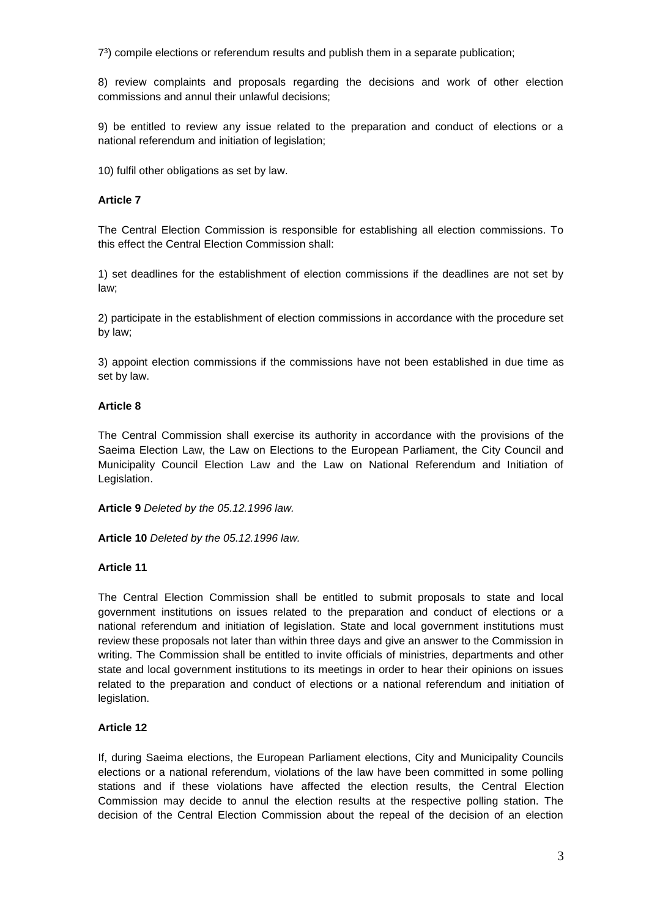7 3 ) compile elections or referendum results and publish them in a separate publication;

8) review complaints and proposals regarding the decisions and work of other election commissions and annul their unlawful decisions;

9) be entitled to review any issue related to the preparation and conduct of elections or a national referendum and initiation of legislation;

10) fulfil other obligations as set by law.

### **Article 7**

The Central Election Commission is responsible for establishing all election commissions. To this effect the Central Election Commission shall:

1) set deadlines for the establishment of election commissions if the deadlines are not set by law;

2) participate in the establishment of election commissions in accordance with the procedure set by law;

3) appoint election commissions if the commissions have not been established in due time as set by law.

### **Article 8**

The Central Commission shall exercise its authority in accordance with the provisions of the Saeima Election Law, the Law on Elections to the European Parliament, the City Council and Municipality Council Election Law and the Law on National Referendum and Initiation of Legislation.

**Article 9** *Deleted by the 05.12.1996 law.*

**Article 10** *Deleted by the 05.12.1996 law.*

### **Article 11**

The Central Election Commission shall be entitled to submit proposals to state and local government institutions on issues related to the preparation and conduct of elections or a national referendum and initiation of legislation. State and local government institutions must review these proposals not later than within three days and give an answer to the Commission in writing. The Commission shall be entitled to invite officials of ministries, departments and other state and local government institutions to its meetings in order to hear their opinions on issues related to the preparation and conduct of elections or a national referendum and initiation of legislation.

### **Article 12**

If, during Saeima elections, the European Parliament elections, City and Municipality Councils elections or a national referendum, violations of the law have been committed in some polling stations and if these violations have affected the election results, the Central Election Commission may decide to annul the election results at the respective polling station. The decision of the Central Election Commission about the repeal of the decision of an election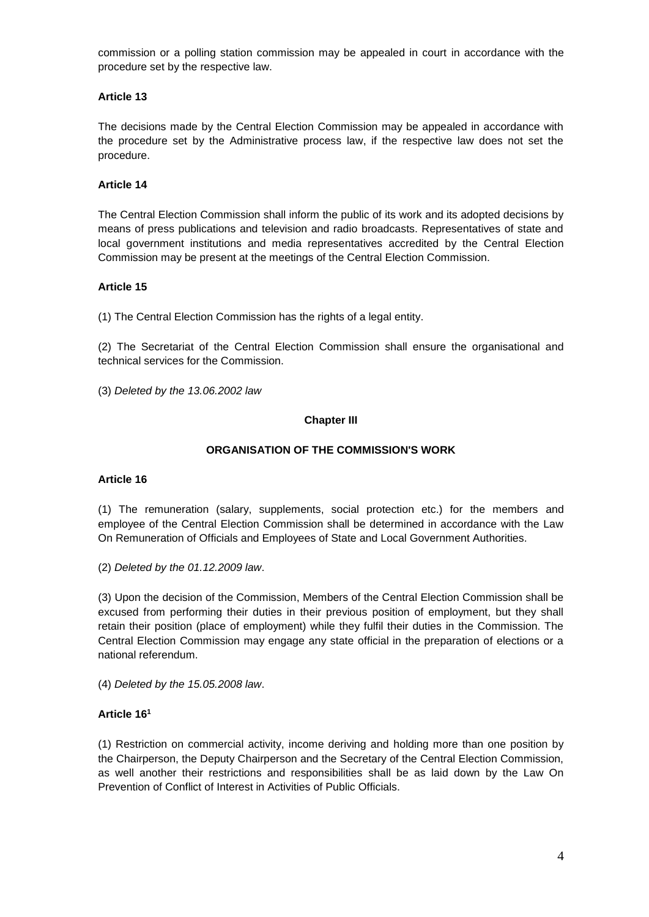commission or a polling station commission may be appealed in court in accordance with the procedure set by the respective law.

## **Article 13**

The decisions made by the Central Election Commission may be appealed in accordance with the procedure set by the Administrative process law, if the respective law does not set the procedure.

### **Article 14**

The Central Election Commission shall inform the public of its work and its adopted decisions by means of press publications and television and radio broadcasts. Representatives of state and local government institutions and media representatives accredited by the Central Election Commission may be present at the meetings of the Central Election Commission.

## **Article 15**

(1) The Central Election Commission has the rights of a legal entity.

(2) The Secretariat of the Central Election Commission shall ensure the organisational and technical services for the Commission.

(3) *Deleted by the 13.06.2002 law*

### **Chapter III**

## **ORGANISATION OF THE COMMISSION'S WORK**

### **Article 16**

(1) The remuneration (salary, supplements, social protection etc.) for the members and employee of the Central Election Commission shall be determined in accordance with the Law On Remuneration of Officials and Employees of State and Local Government Authorities.

(2) *Deleted by the 01.12.2009 law*.

(3) Upon the decision of the Commission, Members of the Central Election Commission shall be excused from performing their duties in their previous position of employment, but they shall retain their position (place of employment) while they fulfil their duties in the Commission. The Central Election Commission may engage any state official in the preparation of elections or a national referendum.

(4) *Deleted by the 15.05.2008 law*.

### **Article 16<sup>1</sup>**

(1) Restriction on commercial activity, income deriving and holding more than one position by the Chairperson, the Deputy Chairperson and the Secretary of the Central Election Commission, as well another their restrictions and responsibilities shall be as laid down by the Law On Prevention of Conflict of Interest in Activities of Public Officials.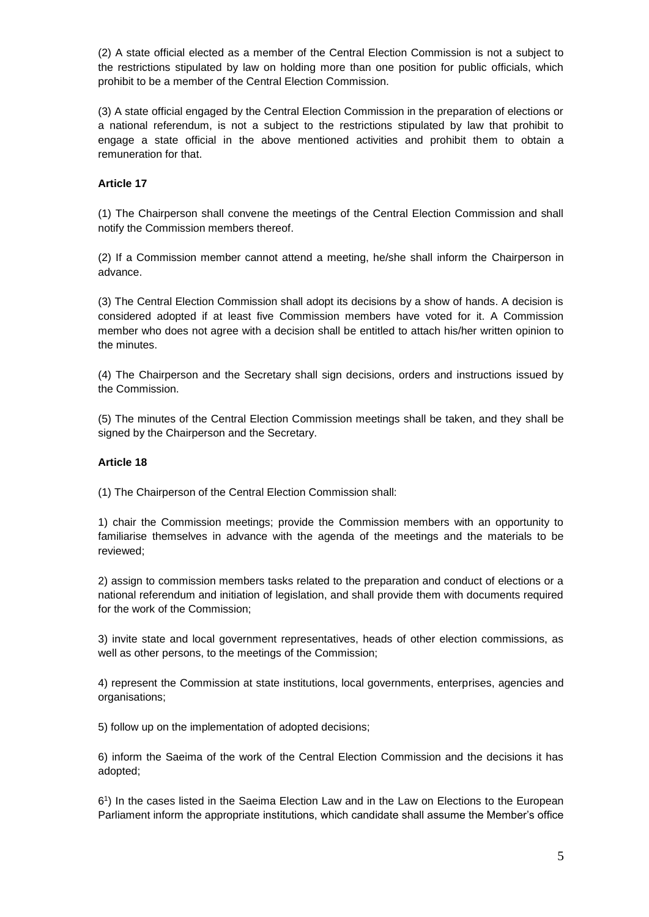(2) A state official elected as a member of the Central Election Commission is not a subject to the restrictions stipulated by law on holding more than one position for public officials, which prohibit to be a member of the Central Election Commission.

(3) A state official engaged by the Central Election Commission in the preparation of elections or a national referendum, is not a subject to the restrictions stipulated by law that prohibit to engage a state official in the above mentioned activities and prohibit them to obtain a remuneration for that.

### **Article 17**

(1) The Chairperson shall convene the meetings of the Central Election Commission and shall notify the Commission members thereof.

(2) If a Commission member cannot attend a meeting, he/she shall inform the Chairperson in advance.

(3) The Central Election Commission shall adopt its decisions by a show of hands. A decision is considered adopted if at least five Commission members have voted for it. A Commission member who does not agree with a decision shall be entitled to attach his/her written opinion to the minutes.

(4) The Chairperson and the Secretary shall sign decisions, orders and instructions issued by the Commission.

(5) The minutes of the Central Election Commission meetings shall be taken, and they shall be signed by the Chairperson and the Secretary.

### **Article 18**

(1) The Chairperson of the Central Election Commission shall:

1) chair the Commission meetings; provide the Commission members with an opportunity to familiarise themselves in advance with the agenda of the meetings and the materials to be reviewed;

2) assign to commission members tasks related to the preparation and conduct of elections or a national referendum and initiation of legislation, and shall provide them with documents required for the work of the Commission;

3) invite state and local government representatives, heads of other election commissions, as well as other persons, to the meetings of the Commission;

4) represent the Commission at state institutions, local governments, enterprises, agencies and organisations;

5) follow up on the implementation of adopted decisions;

6) inform the Saeima of the work of the Central Election Commission and the decisions it has adopted;

6 1 ) In the cases listed in the Saeima Election Law and in the Law on Elections to the European Parliament inform the appropriate institutions, which candidate shall assume the Member's office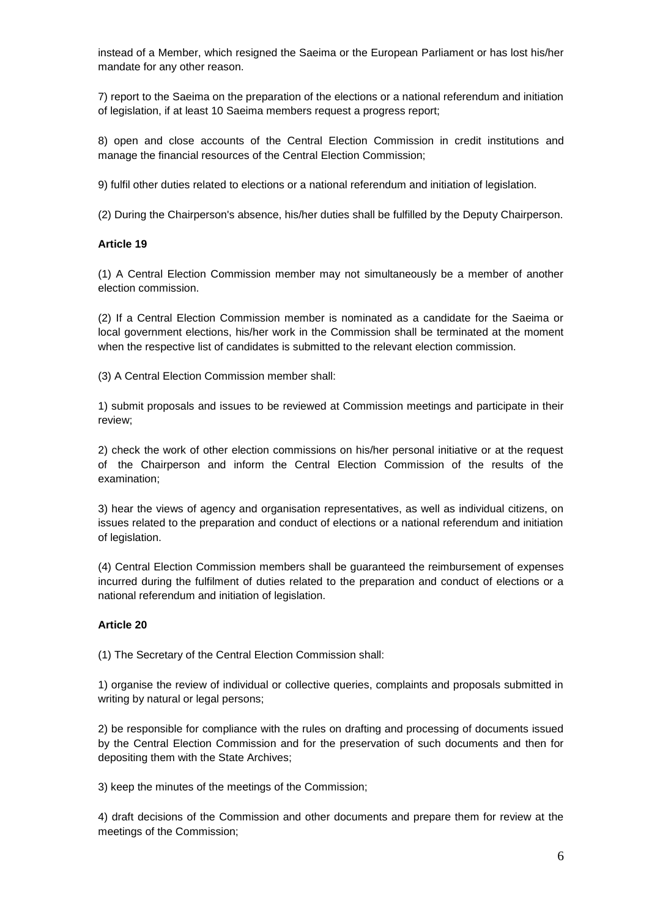instead of a Member, which resigned the Saeima or the European Parliament or has lost his/her mandate for any other reason.

7) report to the Saeima on the preparation of the elections or a national referendum and initiation of legislation, if at least 10 Saeima members request a progress report;

8) open and close accounts of the Central Election Commission in credit institutions and manage the financial resources of the Central Election Commission;

9) fulfil other duties related to elections or a national referendum and initiation of legislation.

(2) During the Chairperson's absence, his/her duties shall be fulfilled by the Deputy Chairperson.

#### **Article 19**

(1) A Central Election Commission member may not simultaneously be a member of another election commission.

(2) If a Central Election Commission member is nominated as a candidate for the Saeima or local government elections, his/her work in the Commission shall be terminated at the moment when the respective list of candidates is submitted to the relevant election commission.

(3) A Central Election Commission member shall:

1) submit proposals and issues to be reviewed at Commission meetings and participate in their review;

2) check the work of other election commissions on his/her personal initiative or at the request of the Chairperson and inform the Central Election Commission of the results of the examination;

3) hear the views of agency and organisation representatives, as well as individual citizens, on issues related to the preparation and conduct of elections or a national referendum and initiation of legislation.

(4) Central Election Commission members shall be guaranteed the reimbursement of expenses incurred during the fulfilment of duties related to the preparation and conduct of elections or a national referendum and initiation of legislation.

### **Article 20**

(1) The Secretary of the Central Election Commission shall:

1) organise the review of individual or collective queries, complaints and proposals submitted in writing by natural or legal persons;

2) be responsible for compliance with the rules on drafting and processing of documents issued by the Central Election Commission and for the preservation of such documents and then for depositing them with the State Archives;

3) keep the minutes of the meetings of the Commission;

4) draft decisions of the Commission and other documents and prepare them for review at the meetings of the Commission;